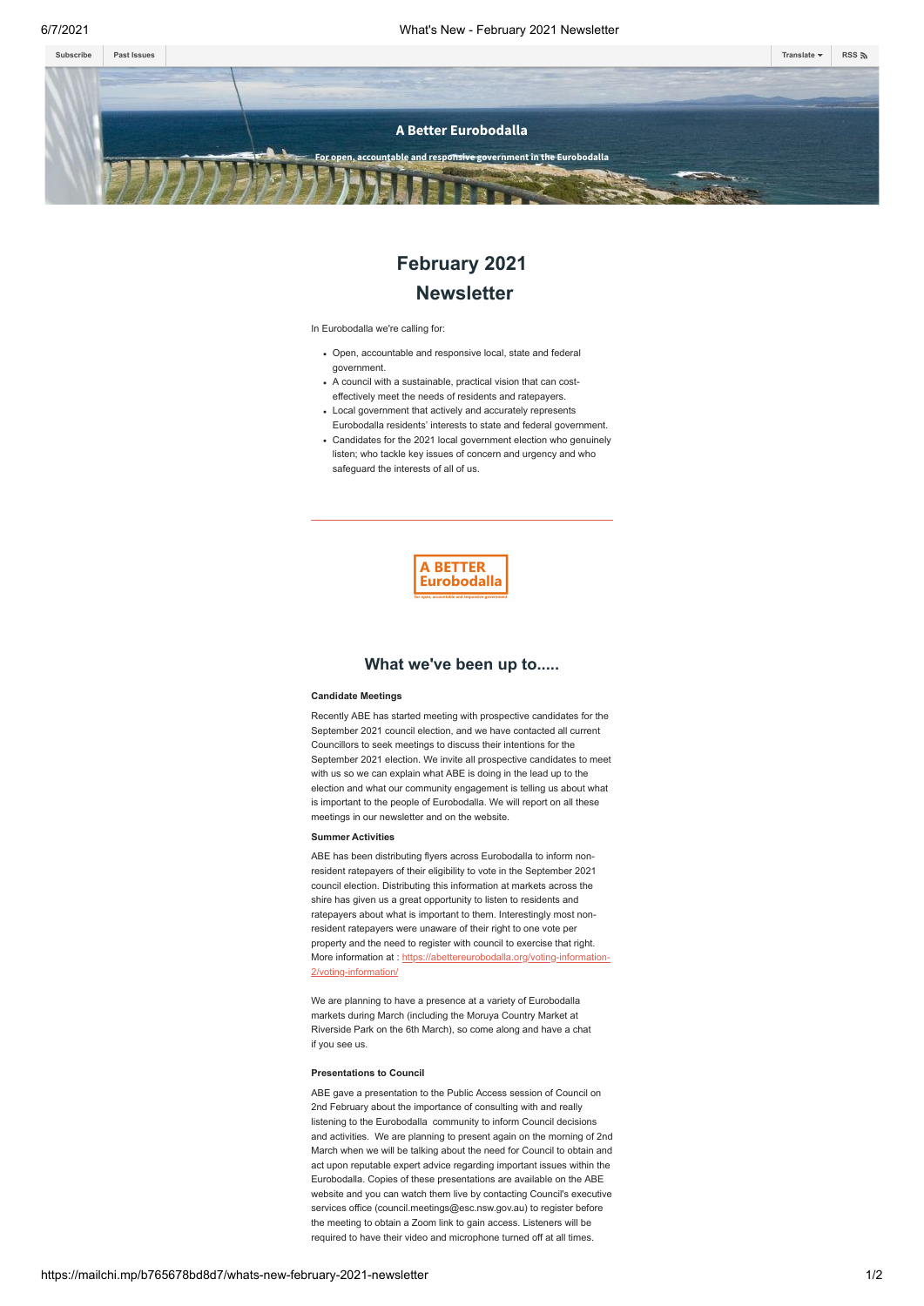

# **February 2021 Newsletter**

In Eurobodalla we're calling for:

- Open, accountable and responsive local, state and federal government.
- A council with a sustainable, practical vision that can costeffectively meet the needs of residents and ratepayers.
- Local government that actively and accurately represents Eurobodalla residents' interests to state and federal government.
- Candidates for the 2021 local government election who genuinely listen; who tackle key issues of concern and urgency and who safeguard the interests of all of us.



## **What we've been up to.....**

#### **Candidate Meetings**

Recently ABE has started meeting with prospective candidates for the September 2021 council election, and we have contacted all current Councillors to seek meetings to discuss their intentions for the September 2021 election. We invite all prospective candidates to meet with us so we can explain what ABE is doing in the lead up to the election and what our community engagement is telling us about what is important to the people of Eurobodalla. We will report on all these meetings in our newsletter and on the website.

### **Summer Activities**

ABE has been distributing flyers across Eurobodalla to inform nonresident ratepayers of their eligibility to vote in the September 2021 council election. Distributing this information at markets across the shire has given us a great opportunity to listen to residents and ratepayers about what is important to them. Interestingly most nonresident ratepayers were unaware of their right to one vote per property and the need to register with council to exercise that right. More information at : [https://abettereurobodalla.org/voting-information-](https://abettereurobodalla.org/voting-information-2/voting-information/)2/voting-informati

We are planning to have a presence at a variety of Eurobodalla markets during March (including the Moruya Country Market at Riverside Park on the 6th March), so come along and have a chat if you see us.

#### **Presentations to Council**

ABE gave a presentation to the Public Access session of Council on 2nd February about the importance of consulting with and really listening to the Eurobodalla community to inform Council decisions and activities. We are planning to present again on the morning of 2nd March when we will be talking about the need for Council to obtain and act upon reputable expert advice regarding important issues within the Eurobodalla. Copies of these presentations are available on the ABE website and you can watch them live by contacting Council's executive services office (council.meetings@esc.nsw.gov.au) to register before the meeting to obtain a Zoom link to gain access. Listeners will be required to have their video and microphone turned off at all times.